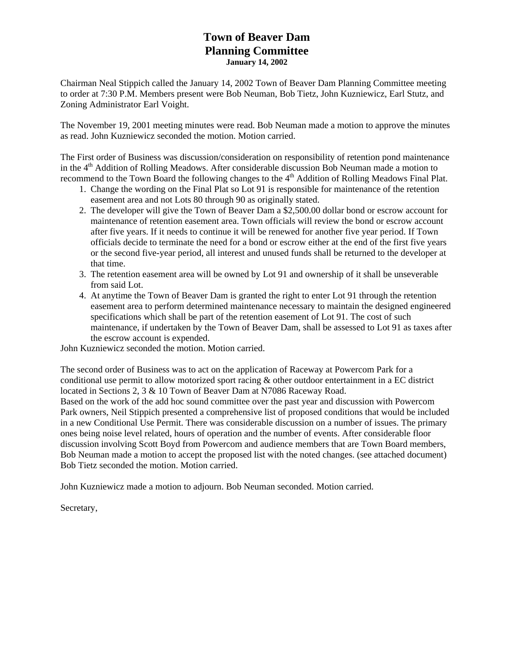## **Town of Beaver Dam Planning Committee January 14, 2002**

Chairman Neal Stippich called the January 14, 2002 Town of Beaver Dam Planning Committee meeting to order at 7:30 P.M. Members present were Bob Neuman, Bob Tietz, John Kuzniewicz, Earl Stutz, and Zoning Administrator Earl Voight.

The November 19, 2001 meeting minutes were read. Bob Neuman made a motion to approve the minutes as read. John Kuzniewicz seconded the motion. Motion carried.

The First order of Business was discussion/consideration on responsibility of retention pond maintenance in the  $4<sup>th</sup>$  Addition of Rolling Meadows. After considerable discussion Bob Neuman made a motion to recommend to the Town Board the following changes to the 4<sup>th</sup> Addition of Rolling Meadows Final Plat.

- 1. Change the wording on the Final Plat so Lot 91 is responsible for maintenance of the retention easement area and not Lots 80 through 90 as originally stated.
- 2. The developer will give the Town of Beaver Dam a \$2,500.00 dollar bond or escrow account for maintenance of retention easement area. Town officials will review the bond or escrow account after five years. If it needs to continue it will be renewed for another five year period. If Town officials decide to terminate the need for a bond or escrow either at the end of the first five years or the second five-year period, all interest and unused funds shall be returned to the developer at that time.
- 3. The retention easement area will be owned by Lot 91 and ownership of it shall be unseverable from said Lot.
- 4. At anytime the Town of Beaver Dam is granted the right to enter Lot 91 through the retention easement area to perform determined maintenance necessary to maintain the designed engineered specifications which shall be part of the retention easement of Lot 91. The cost of such maintenance, if undertaken by the Town of Beaver Dam, shall be assessed to Lot 91 as taxes after the escrow account is expended.

John Kuzniewicz seconded the motion. Motion carried.

The second order of Business was to act on the application of Raceway at Powercom Park for a conditional use permit to allow motorized sport racing & other outdoor entertainment in a EC district located in Sections 2, 3 & 10 Town of Beaver Dam at N7086 Raceway Road. Based on the work of the add hoc sound committee over the past year and discussion with Powercom Park owners, Neil Stippich presented a comprehensive list of proposed conditions that would be included in a new Conditional Use Permit. There was considerable discussion on a number of issues. The primary ones being noise level related, hours of operation and the number of events. After considerable floor discussion involving Scott Boyd from Powercom and audience members that are Town Board members, Bob Neuman made a motion to accept the proposed list with the noted changes. (see attached document) Bob Tietz seconded the motion. Motion carried.

John Kuzniewicz made a motion to adjourn. Bob Neuman seconded. Motion carried.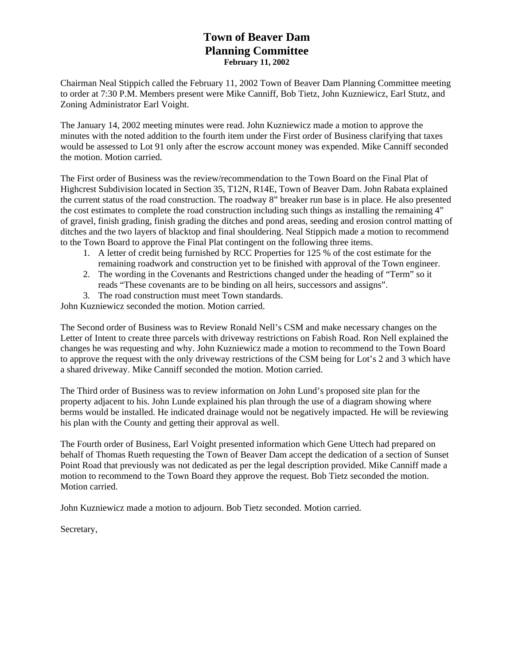# **Town of Beaver Dam Planning Committee February 11, 2002**

Chairman Neal Stippich called the February 11, 2002 Town of Beaver Dam Planning Committee meeting to order at 7:30 P.M. Members present were Mike Canniff, Bob Tietz, John Kuzniewicz, Earl Stutz, and Zoning Administrator Earl Voight.

The January 14, 2002 meeting minutes were read. John Kuzniewicz made a motion to approve the minutes with the noted addition to the fourth item under the First order of Business clarifying that taxes would be assessed to Lot 91 only after the escrow account money was expended. Mike Canniff seconded the motion. Motion carried.

The First order of Business was the review/recommendation to the Town Board on the Final Plat of Highcrest Subdivision located in Section 35, T12N, R14E, Town of Beaver Dam. John Rabata explained the current status of the road construction. The roadway 8" breaker run base is in place. He also presented the cost estimates to complete the road construction including such things as installing the remaining 4" of gravel, finish grading, finish grading the ditches and pond areas, seeding and erosion control matting of ditches and the two layers of blacktop and final shouldering. Neal Stippich made a motion to recommend to the Town Board to approve the Final Plat contingent on the following three items.

- 1. A letter of credit being furnished by RCC Properties for 125 % of the cost estimate for the remaining roadwork and construction yet to be finished with approval of the Town engineer.
- 2. The wording in the Covenants and Restrictions changed under the heading of "Term" so it reads "These covenants are to be binding on all heirs, successors and assigns".
- 3. The road construction must meet Town standards.

John Kuzniewicz seconded the motion. Motion carried.

The Second order of Business was to Review Ronald Nell's CSM and make necessary changes on the Letter of Intent to create three parcels with driveway restrictions on Fabish Road. Ron Nell explained the changes he was requesting and why. John Kuzniewicz made a motion to recommend to the Town Board to approve the request with the only driveway restrictions of the CSM being for Lot's 2 and 3 which have a shared driveway. Mike Canniff seconded the motion. Motion carried.

The Third order of Business was to review information on John Lund's proposed site plan for the property adjacent to his. John Lunde explained his plan through the use of a diagram showing where berms would be installed. He indicated drainage would not be negatively impacted. He will be reviewing his plan with the County and getting their approval as well.

The Fourth order of Business, Earl Voight presented information which Gene Uttech had prepared on behalf of Thomas Rueth requesting the Town of Beaver Dam accept the dedication of a section of Sunset Point Road that previously was not dedicated as per the legal description provided. Mike Canniff made a motion to recommend to the Town Board they approve the request. Bob Tietz seconded the motion. Motion carried.

John Kuzniewicz made a motion to adjourn. Bob Tietz seconded. Motion carried.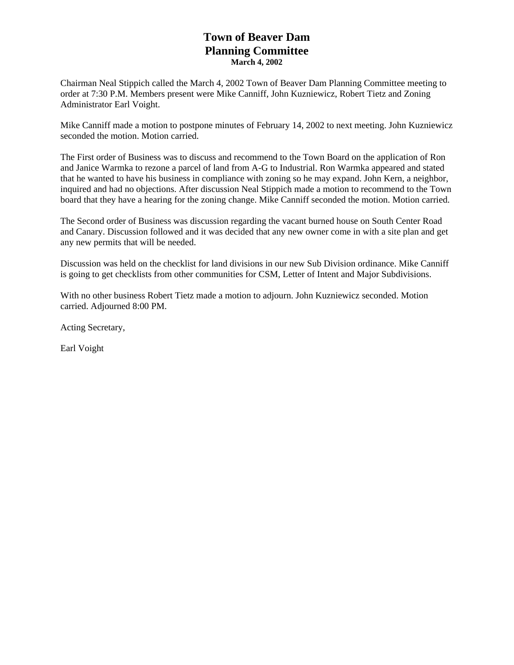# **Town of Beaver Dam Planning Committee March 4, 2002**

Chairman Neal Stippich called the March 4, 2002 Town of Beaver Dam Planning Committee meeting to order at 7:30 P.M. Members present were Mike Canniff, John Kuzniewicz, Robert Tietz and Zoning Administrator Earl Voight.

Mike Canniff made a motion to postpone minutes of February 14, 2002 to next meeting. John Kuzniewicz seconded the motion. Motion carried.

The First order of Business was to discuss and recommend to the Town Board on the application of Ron and Janice Warmka to rezone a parcel of land from A-G to Industrial. Ron Warmka appeared and stated that he wanted to have his business in compliance with zoning so he may expand. John Kern, a neighbor, inquired and had no objections. After discussion Neal Stippich made a motion to recommend to the Town board that they have a hearing for the zoning change. Mike Canniff seconded the motion. Motion carried.

The Second order of Business was discussion regarding the vacant burned house on South Center Road and Canary. Discussion followed and it was decided that any new owner come in with a site plan and get any new permits that will be needed.

Discussion was held on the checklist for land divisions in our new Sub Division ordinance. Mike Canniff is going to get checklists from other communities for CSM, Letter of Intent and Major Subdivisions.

With no other business Robert Tietz made a motion to adjourn. John Kuzniewicz seconded. Motion carried. Adjourned 8:00 PM.

Acting Secretary,

Earl Voight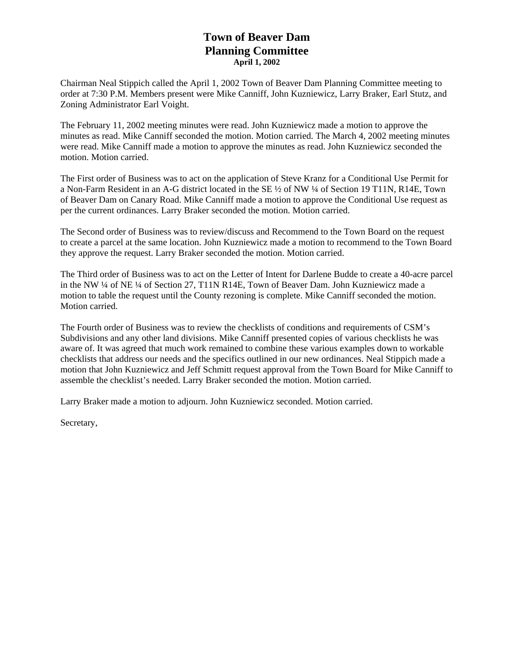# **Town of Beaver Dam Planning Committee April 1, 2002**

Chairman Neal Stippich called the April 1, 2002 Town of Beaver Dam Planning Committee meeting to order at 7:30 P.M. Members present were Mike Canniff, John Kuzniewicz, Larry Braker, Earl Stutz, and Zoning Administrator Earl Voight.

The February 11, 2002 meeting minutes were read. John Kuzniewicz made a motion to approve the minutes as read. Mike Canniff seconded the motion. Motion carried. The March 4, 2002 meeting minutes were read. Mike Canniff made a motion to approve the minutes as read. John Kuzniewicz seconded the motion. Motion carried.

The First order of Business was to act on the application of Steve Kranz for a Conditional Use Permit for a Non-Farm Resident in an A-G district located in the SE ½ of NW ¼ of Section 19 T11N, R14E, Town of Beaver Dam on Canary Road. Mike Canniff made a motion to approve the Conditional Use request as per the current ordinances. Larry Braker seconded the motion. Motion carried.

The Second order of Business was to review/discuss and Recommend to the Town Board on the request to create a parcel at the same location. John Kuzniewicz made a motion to recommend to the Town Board they approve the request. Larry Braker seconded the motion. Motion carried.

The Third order of Business was to act on the Letter of Intent for Darlene Budde to create a 40-acre parcel in the NW ¼ of NE ¼ of Section 27, T11N R14E, Town of Beaver Dam. John Kuzniewicz made a motion to table the request until the County rezoning is complete. Mike Canniff seconded the motion. Motion carried.

The Fourth order of Business was to review the checklists of conditions and requirements of CSM's Subdivisions and any other land divisions. Mike Canniff presented copies of various checklists he was aware of. It was agreed that much work remained to combine these various examples down to workable checklists that address our needs and the specifics outlined in our new ordinances. Neal Stippich made a motion that John Kuzniewicz and Jeff Schmitt request approval from the Town Board for Mike Canniff to assemble the checklist's needed. Larry Braker seconded the motion. Motion carried.

Larry Braker made a motion to adjourn. John Kuzniewicz seconded. Motion carried.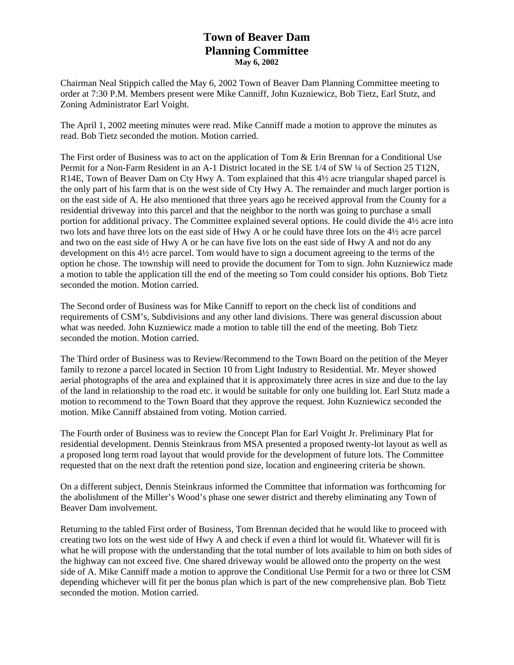# **Town of Beaver Dam Planning Committee May 6, 2002**

Chairman Neal Stippich called the May 6, 2002 Town of Beaver Dam Planning Committee meeting to order at 7:30 P.M. Members present were Mike Canniff, John Kuzniewicz, Bob Tietz, Earl Stutz, and Zoning Administrator Earl Voight.

The April 1, 2002 meeting minutes were read. Mike Canniff made a motion to approve the minutes as read. Bob Tietz seconded the motion. Motion carried.

The First order of Business was to act on the application of Tom & Erin Brennan for a Conditional Use Permit for a Non-Farm Resident in an A-1 District located in the SE 1/4 of SW ¼ of Section 25 T12N, R14E, Town of Beaver Dam on Cty Hwy A. Tom explained that this 4½ acre triangular shaped parcel is the only part of his farm that is on the west side of Cty Hwy A. The remainder and much larger portion is on the east side of A. He also mentioned that three years ago he received approval from the County for a residential driveway into this parcel and that the neighbor to the north was going to purchase a small portion for additional privacy. The Committee explained several options. He could divide the 4½ acre into two lots and have three lots on the east side of Hwy A or he could have three lots on the 4½ acre parcel and two on the east side of Hwy A or he can have five lots on the east side of Hwy A and not do any development on this 4½ acre parcel. Tom would have to sign a document agreeing to the terms of the option he chose. The township will need to provide the document for Tom to sign. John Kuzniewicz made a motion to table the application till the end of the meeting so Tom could consider his options. Bob Tietz seconded the motion. Motion carried.

The Second order of Business was for Mike Canniff to report on the check list of conditions and requirements of CSM's, Subdivisions and any other land divisions. There was general discussion about what was needed. John Kuzniewicz made a motion to table till the end of the meeting. Bob Tietz seconded the motion. Motion carried.

The Third order of Business was to Review/Recommend to the Town Board on the petition of the Meyer family to rezone a parcel located in Section 10 from Light Industry to Residential. Mr. Meyer showed aerial photographs of the area and explained that it is approximately three acres in size and due to the lay of the land in relationship to the road etc. it would be suitable for only one building lot. Earl Stutz made a motion to recommend to the Town Board that they approve the request. John Kuzniewicz seconded the motion. Mike Canniff abstained from voting. Motion carried.

The Fourth order of Business was to review the Concept Plan for Earl Voight Jr. Preliminary Plat for residential development. Dennis Steinkraus from MSA presented a proposed twenty-lot layout as well as a proposed long term road layout that would provide for the development of future lots. The Committee requested that on the next draft the retention pond size, location and engineering criteria be shown.

On a different subject, Dennis Steinkraus informed the Committee that information was forthcoming for the abolishment of the Miller's Wood's phase one sewer district and thereby eliminating any Town of Beaver Dam involvement.

Returning to the tabled First order of Business, Tom Brennan decided that he would like to proceed with creating two lots on the west side of Hwy A and check if even a third lot would fit. Whatever will fit is what he will propose with the understanding that the total number of lots available to him on both sides of the highway can not exceed five. One shared driveway would be allowed onto the property on the west side of A. Mike Canniff made a motion to approve the Conditional Use Permit for a two or three lot CSM depending whichever will fit per the bonus plan which is part of the new comprehensive plan. Bob Tietz seconded the motion. Motion carried.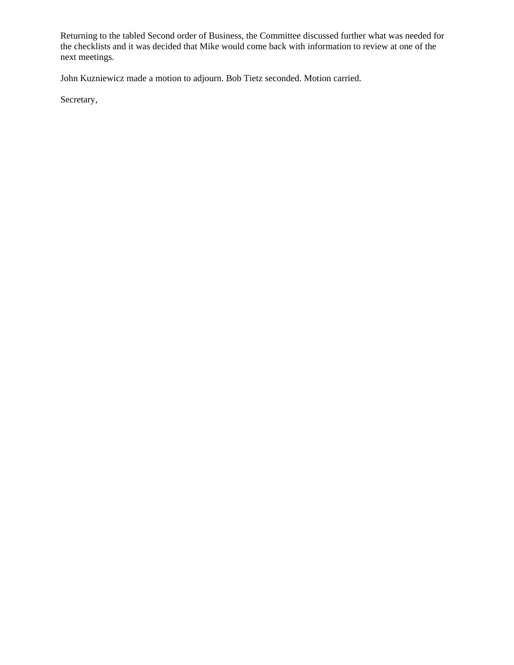Returning to the tabled Second order of Business, the Committee discussed further what was needed for the checklists and it was decided that Mike would come back with information to review at one of the next meetings.

John Kuzniewicz made a motion to adjourn. Bob Tietz seconded. Motion carried.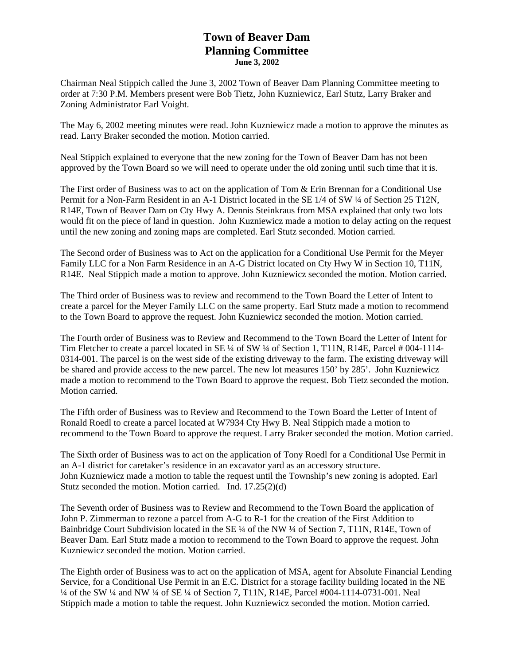## **Town of Beaver Dam Planning Committee June 3, 2002**

Chairman Neal Stippich called the June 3, 2002 Town of Beaver Dam Planning Committee meeting to order at 7:30 P.M. Members present were Bob Tietz, John Kuzniewicz, Earl Stutz, Larry Braker and Zoning Administrator Earl Voight.

The May 6, 2002 meeting minutes were read. John Kuzniewicz made a motion to approve the minutes as read. Larry Braker seconded the motion. Motion carried.

Neal Stippich explained to everyone that the new zoning for the Town of Beaver Dam has not been approved by the Town Board so we will need to operate under the old zoning until such time that it is.

The First order of Business was to act on the application of Tom & Erin Brennan for a Conditional Use Permit for a Non-Farm Resident in an A-1 District located in the SE 1/4 of SW ¼ of Section 25 T12N, R14E, Town of Beaver Dam on Cty Hwy A. Dennis Steinkraus from MSA explained that only two lots would fit on the piece of land in question. John Kuzniewicz made a motion to delay acting on the request until the new zoning and zoning maps are completed. Earl Stutz seconded. Motion carried.

The Second order of Business was to Act on the application for a Conditional Use Permit for the Meyer Family LLC for a Non Farm Residence in an A-G District located on Cty Hwy W in Section 10, T11N, R14E. Neal Stippich made a motion to approve. John Kuzniewicz seconded the motion. Motion carried.

The Third order of Business was to review and recommend to the Town Board the Letter of Intent to create a parcel for the Meyer Family LLC on the same property. Earl Stutz made a motion to recommend to the Town Board to approve the request. John Kuzniewicz seconded the motion. Motion carried.

The Fourth order of Business was to Review and Recommend to the Town Board the Letter of Intent for Tim Fletcher to create a parcel located in SE ¼ of SW ¼ of Section 1, T11N, R14E, Parcel # 004-1114- 0314-001. The parcel is on the west side of the existing driveway to the farm. The existing driveway will be shared and provide access to the new parcel. The new lot measures 150' by 285'. John Kuzniewicz made a motion to recommend to the Town Board to approve the request. Bob Tietz seconded the motion. Motion carried.

The Fifth order of Business was to Review and Recommend to the Town Board the Letter of Intent of Ronald Roedl to create a parcel located at W7934 Cty Hwy B. Neal Stippich made a motion to recommend to the Town Board to approve the request. Larry Braker seconded the motion. Motion carried.

The Sixth order of Business was to act on the application of Tony Roedl for a Conditional Use Permit in an A-1 district for caretaker's residence in an excavator yard as an accessory structure. John Kuzniewicz made a motion to table the request until the Township's new zoning is adopted. Earl Stutz seconded the motion. Motion carried. Ind. 17.25(2)(d)

The Seventh order of Business was to Review and Recommend to the Town Board the application of John P. Zimmerman to rezone a parcel from A-G to R-1 for the creation of the First Addition to Bainbridge Court Subdivision located in the SE ¼ of the NW ¼ of Section 7, T11N, R14E, Town of Beaver Dam. Earl Stutz made a motion to recommend to the Town Board to approve the request. John Kuzniewicz seconded the motion. Motion carried.

The Eighth order of Business was to act on the application of MSA, agent for Absolute Financial Lending Service, for a Conditional Use Permit in an E.C. District for a storage facility building located in the NE ¼ of the SW ¼ and NW ¼ of SE ¼ of Section 7, T11N, R14E, Parcel #004-1114-0731-001. Neal Stippich made a motion to table the request. John Kuzniewicz seconded the motion. Motion carried.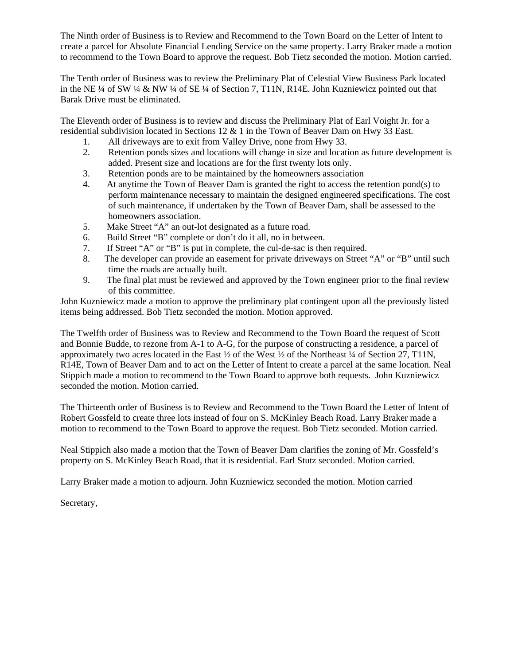The Ninth order of Business is to Review and Recommend to the Town Board on the Letter of Intent to create a parcel for Absolute Financial Lending Service on the same property. Larry Braker made a motion to recommend to the Town Board to approve the request. Bob Tietz seconded the motion. Motion carried.

The Tenth order of Business was to review the Preliminary Plat of Celestial View Business Park located in the NE  $\frac{1}{4}$  of SW  $\frac{1}{4}$  & NW  $\frac{1}{4}$  of Section 7, T11N, R14E. John Kuzniewicz pointed out that Barak Drive must be eliminated.

The Eleventh order of Business is to review and discuss the Preliminary Plat of Earl Voight Jr. for a residential subdivision located in Sections 12  $\&$  1 in the Town of Beaver Dam on Hwy 33 East.

- 1. All driveways are to exit from Valley Drive, none from Hwy 33.<br>2. Retention ponds sizes and locations will change in size and locations
- 2. Retention ponds sizes and locations will change in size and location as future development is added. Present size and locations are for the first twenty lots only.
- 3. Retention ponds are to be maintained by the homeowners association
- 4. At anytime the Town of Beaver Dam is granted the right to access the retention pond(s) to perform maintenance necessary to maintain the designed engineered specifications. The cost of such maintenance, if undertaken by the Town of Beaver Dam, shall be assessed to the homeowners association.
- 5. Make Street "A" an out-lot designated as a future road.
- 6. Build Street "B" complete or don't do it all, no in between.
- 7. If Street "A" or "B" is put in complete, the cul-de-sac is then required.
- 8. The developer can provide an easement for private driveways on Street "A" or "B" until such time the roads are actually built.
- 9. The final plat must be reviewed and approved by the Town engineer prior to the final review of this committee.

John Kuzniewicz made a motion to approve the preliminary plat contingent upon all the previously listed items being addressed. Bob Tietz seconded the motion. Motion approved.

The Twelfth order of Business was to Review and Recommend to the Town Board the request of Scott and Bonnie Budde, to rezone from A-1 to A-G, for the purpose of constructing a residence, a parcel of approximately two acres located in the East  $\frac{1}{2}$  of the West  $\frac{1}{2}$  of the Northeast  $\frac{1}{4}$  of Section 27, T11N, R14E, Town of Beaver Dam and to act on the Letter of Intent to create a parcel at the same location. Neal Stippich made a motion to recommend to the Town Board to approve both requests. John Kuzniewicz seconded the motion. Motion carried.

The Thirteenth order of Business is to Review and Recommend to the Town Board the Letter of Intent of Robert Gossfeld to create three lots instead of four on S. McKinley Beach Road. Larry Braker made a motion to recommend to the Town Board to approve the request. Bob Tietz seconded. Motion carried.

Neal Stippich also made a motion that the Town of Beaver Dam clarifies the zoning of Mr. Gossfeld's property on S. McKinley Beach Road, that it is residential. Earl Stutz seconded. Motion carried.

Larry Braker made a motion to adjourn. John Kuzniewicz seconded the motion. Motion carried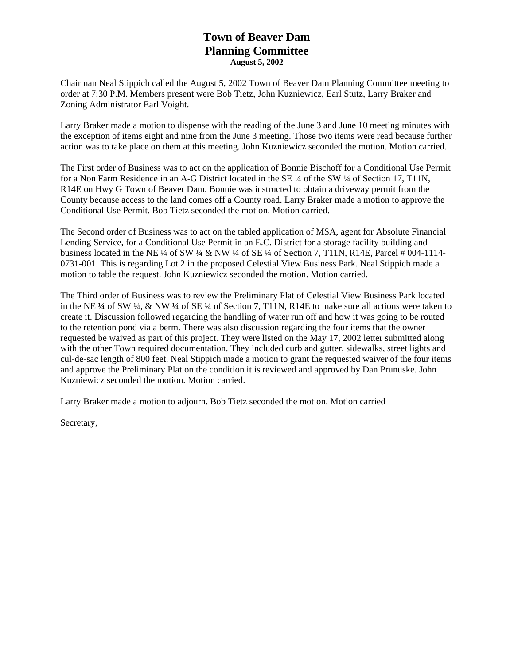# **Town of Beaver Dam Planning Committee August 5, 2002**

Chairman Neal Stippich called the August 5, 2002 Town of Beaver Dam Planning Committee meeting to order at 7:30 P.M. Members present were Bob Tietz, John Kuzniewicz, Earl Stutz, Larry Braker and Zoning Administrator Earl Voight.

Larry Braker made a motion to dispense with the reading of the June 3 and June 10 meeting minutes with the exception of items eight and nine from the June 3 meeting. Those two items were read because further action was to take place on them at this meeting. John Kuzniewicz seconded the motion. Motion carried.

The First order of Business was to act on the application of Bonnie Bischoff for a Conditional Use Permit for a Non Farm Residence in an A-G District located in the SE ¼ of the SW ¼ of Section 17, T11N, R14E on Hwy G Town of Beaver Dam. Bonnie was instructed to obtain a driveway permit from the County because access to the land comes off a County road. Larry Braker made a motion to approve the Conditional Use Permit. Bob Tietz seconded the motion. Motion carried.

The Second order of Business was to act on the tabled application of MSA, agent for Absolute Financial Lending Service, for a Conditional Use Permit in an E.C. District for a storage facility building and business located in the NE ¼ of SW ¼ & NW ¼ of SE ¼ of Section 7, T11N, R14E, Parcel # 004-1114-0731-001. This is regarding Lot 2 in the proposed Celestial View Business Park. Neal Stippich made a motion to table the request. John Kuzniewicz seconded the motion. Motion carried.

The Third order of Business was to review the Preliminary Plat of Celestial View Business Park located in the NE ¼ of SW ¼, & NW ¼ of SE ¼ of Section 7, T11N, R14E to make sure all actions were taken to create it. Discussion followed regarding the handling of water run off and how it was going to be routed to the retention pond via a berm. There was also discussion regarding the four items that the owner requested be waived as part of this project. They were listed on the May 17, 2002 letter submitted along with the other Town required documentation. They included curb and gutter, sidewalks, street lights and cul-de-sac length of 800 feet. Neal Stippich made a motion to grant the requested waiver of the four items and approve the Preliminary Plat on the condition it is reviewed and approved by Dan Prunuske. John Kuzniewicz seconded the motion. Motion carried.

Larry Braker made a motion to adjourn. Bob Tietz seconded the motion. Motion carried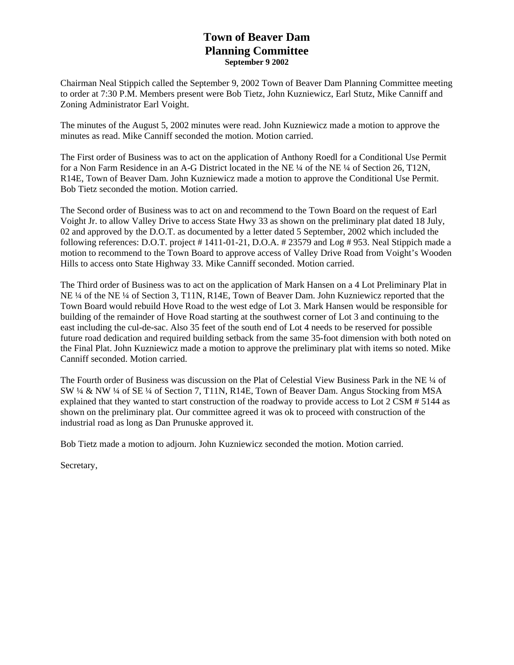### **Town of Beaver Dam Planning Committee September 9 2002**

Chairman Neal Stippich called the September 9, 2002 Town of Beaver Dam Planning Committee meeting to order at 7:30 P.M. Members present were Bob Tietz, John Kuzniewicz, Earl Stutz, Mike Canniff and Zoning Administrator Earl Voight.

The minutes of the August 5, 2002 minutes were read. John Kuzniewicz made a motion to approve the minutes as read. Mike Canniff seconded the motion. Motion carried.

The First order of Business was to act on the application of Anthony Roedl for a Conditional Use Permit for a Non Farm Residence in an A-G District located in the NE ¼ of the NE ¼ of Section 26, T12N, R14E, Town of Beaver Dam. John Kuzniewicz made a motion to approve the Conditional Use Permit. Bob Tietz seconded the motion. Motion carried.

The Second order of Business was to act on and recommend to the Town Board on the request of Earl Voight Jr. to allow Valley Drive to access State Hwy 33 as shown on the preliminary plat dated 18 July, 02 and approved by the D.O.T. as documented by a letter dated 5 September, 2002 which included the following references: D.O.T. project # 1411-01-21, D.O.A. # 23579 and Log # 953. Neal Stippich made a motion to recommend to the Town Board to approve access of Valley Drive Road from Voight's Wooden Hills to access onto State Highway 33. Mike Canniff seconded. Motion carried.

The Third order of Business was to act on the application of Mark Hansen on a 4 Lot Preliminary Plat in NE ¼ of the NE ¼ of Section 3, T11N, R14E, Town of Beaver Dam. John Kuzniewicz reported that the Town Board would rebuild Hove Road to the west edge of Lot 3. Mark Hansen would be responsible for building of the remainder of Hove Road starting at the southwest corner of Lot 3 and continuing to the east including the cul-de-sac. Also 35 feet of the south end of Lot 4 needs to be reserved for possible future road dedication and required building setback from the same 35-foot dimension with both noted on the Final Plat. John Kuzniewicz made a motion to approve the preliminary plat with items so noted. Mike Canniff seconded. Motion carried.

The Fourth order of Business was discussion on the Plat of Celestial View Business Park in the NE ¼ of SW ¼ & NW ¼ of SE ¼ of Section 7, T11N, R14E, Town of Beaver Dam. Angus Stocking from MSA explained that they wanted to start construction of the roadway to provide access to Lot 2 CSM # 5144 as shown on the preliminary plat. Our committee agreed it was ok to proceed with construction of the industrial road as long as Dan Prunuske approved it.

Bob Tietz made a motion to adjourn. John Kuzniewicz seconded the motion. Motion carried.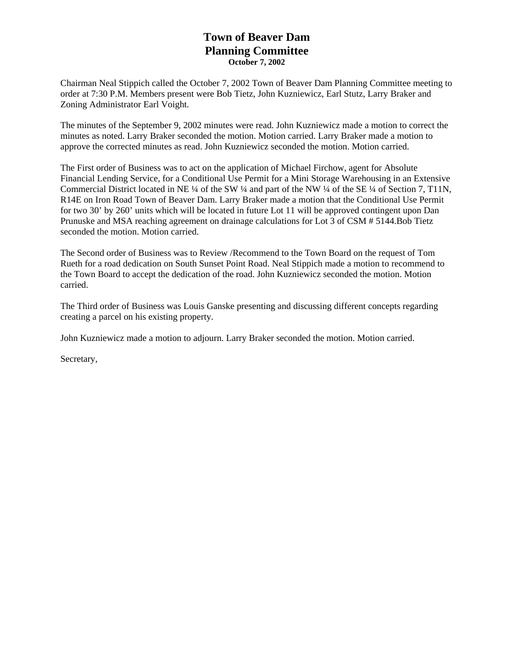# **Town of Beaver Dam Planning Committee October 7, 2002**

Chairman Neal Stippich called the October 7, 2002 Town of Beaver Dam Planning Committee meeting to order at 7:30 P.M. Members present were Bob Tietz, John Kuzniewicz, Earl Stutz, Larry Braker and Zoning Administrator Earl Voight.

The minutes of the September 9, 2002 minutes were read. John Kuzniewicz made a motion to correct the minutes as noted. Larry Braker seconded the motion. Motion carried. Larry Braker made a motion to approve the corrected minutes as read. John Kuzniewicz seconded the motion. Motion carried.

The First order of Business was to act on the application of Michael Firchow, agent for Absolute Financial Lending Service, for a Conditional Use Permit for a Mini Storage Warehousing in an Extensive Commercial District located in NE ¼ of the SW ¼ and part of the NW ¼ of the SE ¼ of Section 7, T11N, R14E on Iron Road Town of Beaver Dam. Larry Braker made a motion that the Conditional Use Permit for two 30' by 260' units which will be located in future Lot 11 will be approved contingent upon Dan Prunuske and MSA reaching agreement on drainage calculations for Lot 3 of CSM # 5144.Bob Tietz seconded the motion. Motion carried.

The Second order of Business was to Review /Recommend to the Town Board on the request of Tom Rueth for a road dedication on South Sunset Point Road. Neal Stippich made a motion to recommend to the Town Board to accept the dedication of the road. John Kuzniewicz seconded the motion. Motion carried.

The Third order of Business was Louis Ganske presenting and discussing different concepts regarding creating a parcel on his existing property.

John Kuzniewicz made a motion to adjourn. Larry Braker seconded the motion. Motion carried.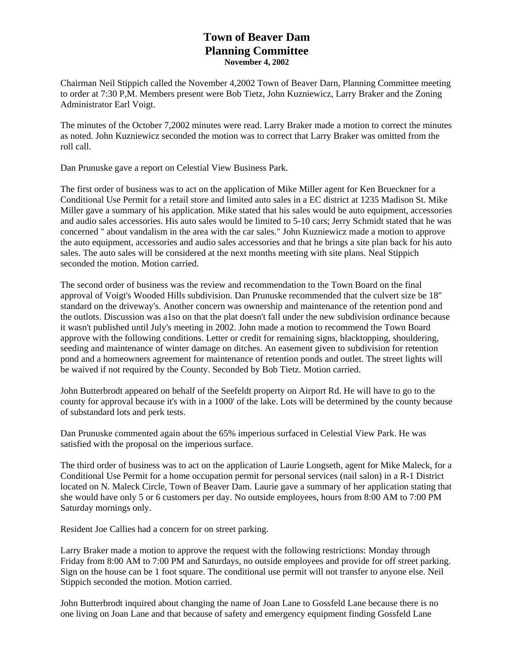### **Town of Beaver Dam Planning Committee November 4, 2002**

Chairman Neil Stippich called the November 4,2002 Town of Beaver Darn, Planning Committee meeting to order at 7:30 P,M. Members present were Bob Tietz, John Kuzniewicz, Larry Braker and the Zoning Administrator Earl Voigt.

The minutes of the October 7,2002 minutes were read. Larry Braker made a motion to correct the minutes as noted. John Kuzniewicz seconded the motion was to correct that Larry Braker was omitted from the roll call.

Dan Prunuske gave a report on Celestial View Business Park.

The first order of business was to act on the application of Mike Miller agent for Ken Brueckner for a Conditional Use Permit for a retail store and limited auto sales in a EC district at 1235 Madison St. Mike Miller gave a summary of his application. Mike stated that his sales would be auto equipment, accessories and audio sales accessories. His auto sales would be limited to 5-10 cars; Jerry Schmidt stated that he was concerned " about vandalism in the area with the car sales." John Kuzniewicz made a motion to approve the auto equipment, accessories and audio sales accessories and that he brings a site plan back for his auto sales. The auto sales will be considered at the next months meeting with site plans. Neal Stippich seconded the motion. Motion carried.

The second order of business was the review and recommendation to the Town Board on the final approval of Voigt's Wooded Hills subdivision. Dan Prunuske recommended that the culvert size be 18" standard on the driveway's. Another concern was ownership and maintenance of the retention pond and the outlots. Discussion was a1so on that the plat doesn't fall under the new subdivision ordinance because it wasn't published until July's meeting in 2002. John made a motion to recommend the Town Board approve with the following conditions. Letter or credit for remaining signs, blacktopping, shouldering, seeding and maintenance of winter damage on ditches. An easement given to subdivision for retention pond and a homeowners agreement for maintenance of retention ponds and outlet. The street lights will be waived if not required by the County. Seconded by Bob Tietz. Motion carried.

John Butterbrodt appeared on behalf of the Seefeldt property on Airport Rd. He will have to go to the county for approval because it's with in a 1000' of the lake. Lots will be determined by the county because of substandard lots and perk tests.

Dan Prunuske commented again about the 65% imperious surfaced in Celestial View Park. He was satisfied with the proposal on the imperious surface.

The third order of business was to act on the application of Laurie Longseth, agent for Mike Maleck, for a Conditional Use Permit for a home occupation permit for personal services (nail salon) in a R-1 District located on N. Maleck Circle, Town of Beaver Dam. Laurie gave a summary of her application stating that she would have only 5 or 6 customers per day. No outside employees, hours from 8:00 AM to 7:00 PM Saturday mornings only.

Resident Joe Callies had a concern for on street parking.

Larry Braker made a motion to approve the request with the following restrictions: Monday through Friday from 8:00 AM to 7:00 PM and Saturdays, no outside employees and provide for off street parking. Sign on the house can be 1 foot square. The conditional use permit will not transfer to anyone else. Neil Stippich seconded the motion. Motion carried.

John Butterbrodt inquired about changing the name of Joan Lane to Gossfeld Lane because there is no one living on Joan Lane and that because of safety and emergency equipment finding Gossfeld Lane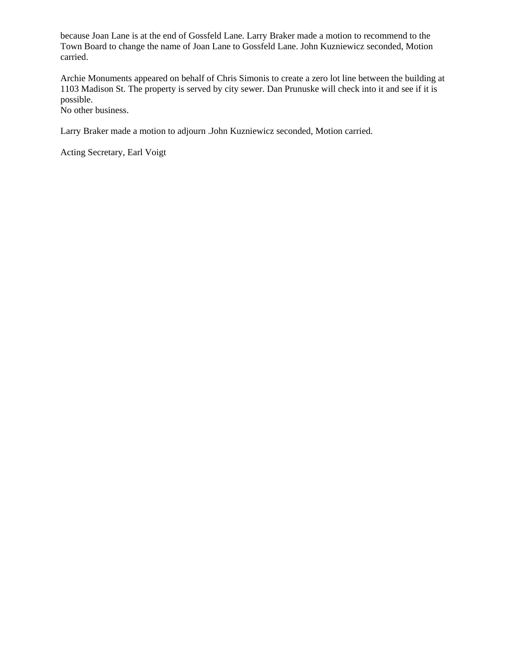because Joan Lane is at the end of Gossfeld Lane. Larry Braker made a motion to recommend to the Town Board to change the name of Joan Lane to Gossfeld Lane. John Kuzniewicz seconded, Motion carried.

Archie Monuments appeared on behalf of Chris Simonis to create a zero lot line between the building at 1103 Madison St. The property is served by city sewer. Dan Prunuske will check into it and see if it is possible.

No other business.

Larry Braker made a motion to adjourn .John Kuzniewicz seconded, Motion carried.

Acting Secretary, Earl Voigt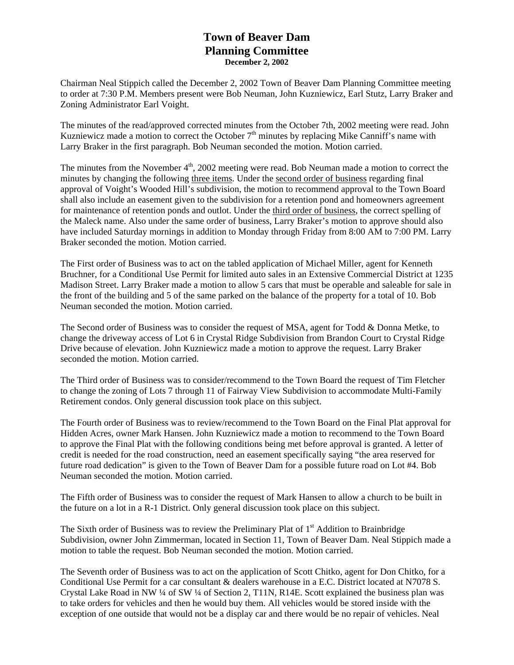## **Town of Beaver Dam Planning Committee December 2, 2002**

Chairman Neal Stippich called the December 2, 2002 Town of Beaver Dam Planning Committee meeting to order at 7:30 P.M. Members present were Bob Neuman, John Kuzniewicz, Earl Stutz, Larry Braker and Zoning Administrator Earl Voight.

The minutes of the read/approved corrected minutes from the October 7th, 2002 meeting were read. John Kuzniewicz made a motion to correct the October  $7<sup>th</sup>$  minutes by replacing Mike Canniff's name with Larry Braker in the first paragraph. Bob Neuman seconded the motion. Motion carried.

The minutes from the November 4<sup>th</sup>, 2002 meeting were read. Bob Neuman made a motion to correct the minutes by changing the following three items. Under the second order of business regarding final approval of Voight's Wooded Hill's subdivision, the motion to recommend approval to the Town Board shall also include an easement given to the subdivision for a retention pond and homeowners agreement for maintenance of retention ponds and outlot. Under the third order of business, the correct spelling of the Maleck name. Also under the same order of business, Larry Braker's motion to approve should also have included Saturday mornings in addition to Monday through Friday from 8:00 AM to 7:00 PM. Larry Braker seconded the motion. Motion carried.

The First order of Business was to act on the tabled application of Michael Miller, agent for Kenneth Bruchner, for a Conditional Use Permit for limited auto sales in an Extensive Commercial District at 1235 Madison Street. Larry Braker made a motion to allow 5 cars that must be operable and saleable for sale in the front of the building and 5 of the same parked on the balance of the property for a total of 10. Bob Neuman seconded the motion. Motion carried.

The Second order of Business was to consider the request of MSA, agent for Todd & Donna Metke, to change the driveway access of Lot 6 in Crystal Ridge Subdivision from Brandon Court to Crystal Ridge Drive because of elevation. John Kuzniewicz made a motion to approve the request. Larry Braker seconded the motion. Motion carried.

The Third order of Business was to consider/recommend to the Town Board the request of Tim Fletcher to change the zoning of Lots 7 through 11 of Fairway View Subdivision to accommodate Multi-Family Retirement condos. Only general discussion took place on this subject.

The Fourth order of Business was to review/recommend to the Town Board on the Final Plat approval for Hidden Acres, owner Mark Hansen. John Kuzniewicz made a motion to recommend to the Town Board to approve the Final Plat with the following conditions being met before approval is granted. A letter of credit is needed for the road construction, need an easement specifically saying "the area reserved for future road dedication" is given to the Town of Beaver Dam for a possible future road on Lot #4. Bob Neuman seconded the motion. Motion carried.

The Fifth order of Business was to consider the request of Mark Hansen to allow a church to be built in the future on a lot in a R-1 District. Only general discussion took place on this subject.

The Sixth order of Business was to review the Preliminary Plat of  $1<sup>st</sup>$  Addition to Brainbridge Subdivision, owner John Zimmerman, located in Section 11, Town of Beaver Dam. Neal Stippich made a motion to table the request. Bob Neuman seconded the motion. Motion carried.

The Seventh order of Business was to act on the application of Scott Chitko, agent for Don Chitko, for a Conditional Use Permit for a car consultant & dealers warehouse in a E.C. District located at N7078 S. Crystal Lake Road in NW ¼ of SW ¼ of Section 2, T11N, R14E. Scott explained the business plan was to take orders for vehicles and then he would buy them. All vehicles would be stored inside with the exception of one outside that would not be a display car and there would be no repair of vehicles. Neal